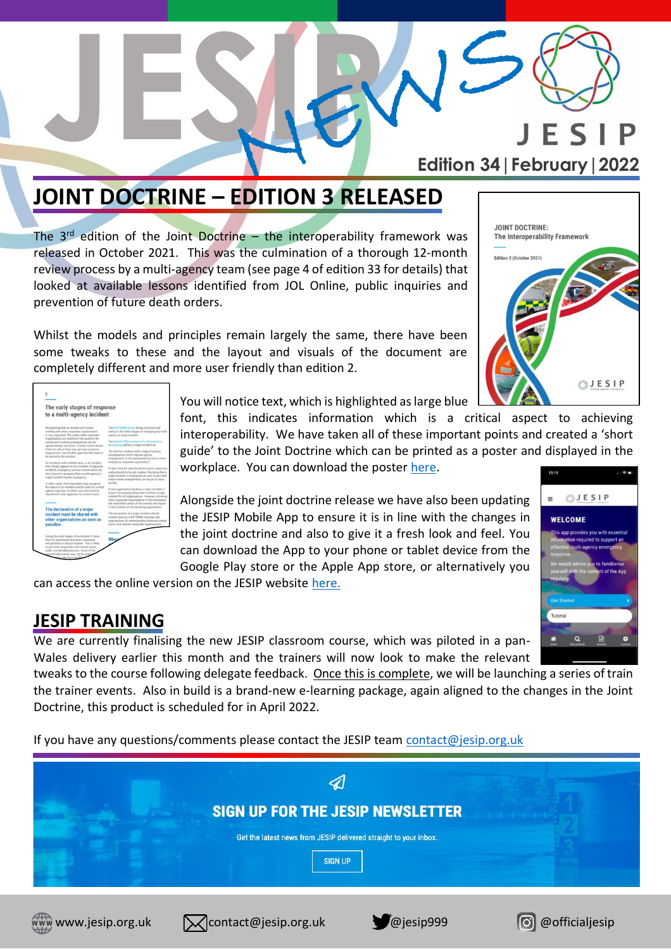

## **JOINT DOCTRINE – EDITION 3 RELEASED**

The  $3<sup>rd</sup>$  edition of the Joint Doctrine – the interoperability framework was released in October 2021. This was the culmination of a thorough 12-month review process by a multi-agency team (see page 4 of edition 33 for details) that looked at available lessons identified from JOL Online, public inquiries and prevention of future death orders.

Whilst the models and principles remain largely the same, there have been some tweaks to these and the layout and visuals of the document are completely different and more user friendly than edition 2.

| <b>JOINT DOCTRINE:</b><br>The Interoperability Framework |                                        |
|----------------------------------------------------------|----------------------------------------|
|                                                          |                                        |
| Edition 3 (October 2021)                                 |                                        |
|                                                          |                                        |
|                                                          | E S<br>testing Together - Seving Cives |

| The early stages of response                                                                                                                                                                  |                                                                                                                                                                                                                |
|-----------------------------------------------------------------------------------------------------------------------------------------------------------------------------------------------|----------------------------------------------------------------------------------------------------------------------------------------------------------------------------------------------------------------|
| to a multi-agency incident                                                                                                                                                                    |                                                                                                                                                                                                                |
| Recognising that an incident will involve<br>working with other responder organisations.                                                                                                      | The M/ETHANE model brings structure and<br>clarity to the initial stages of managing any multi-                                                                                                                |
| is very important. The earlier other responder<br>organisations are notified of the incident, the                                                                                             | apercy or major incident.                                                                                                                                                                                      |
| sooner joint working arrangements can be<br>agreed and put into place. Control rooms should                                                                                                   | The Cabinet Office Lexicon of civil protection<br>terminology defines a major incident as:                                                                                                                     |
| think not only of their own services response<br>requirements, but of other agencies that need to<br>be alerted to the incident.                                                              | "An event or situation with a range of perious<br>consequences which requires special<br>arrangements to be implemented by one or more                                                                         |
| For incidents with multiple sites, or an incident                                                                                                                                             | emergency responder organisation".                                                                                                                                                                             |
| that initially appears to be a number of segarate<br>incidents, emergency service control rooms are<br>liest placed to recognise that a multi-apency or<br>major incident may be in progress. | It takes time for operational structures, resources<br>and protocols to be put in place. Declaring that a<br>major incident is in progress as soon as possible<br>means these arrangements can be put in place |
| In other cases, first responders may recognise                                                                                                                                                | quickly.                                                                                                                                                                                                       |
| the nature of an incident and the need for a multi-<br>agency response. In either case, this must be<br>shared with other agencies via control rooms.                                         | If one organisation declares a major incident, it.<br>doesn't necessarily follow that it will be a major<br>incident for all organisations. However, informing                                                 |
|                                                                                                                                                                                               | other responder organisations of the declaration<br>will make them aware of the severity and impact                                                                                                            |
| The declaration of a major                                                                                                                                                                    | of the incident on the declaring organization.                                                                                                                                                                 |
| incident must be shared with                                                                                                                                                                  | The declaration of a major incident should                                                                                                                                                                     |
| other organisations as soon as                                                                                                                                                                | include sharing a M/ETHANE message and<br>opening lines of communication between control                                                                                                                       |
| possible.                                                                                                                                                                                     | rooms and relevant responder organisations.                                                                                                                                                                    |
|                                                                                                                                                                                               |                                                                                                                                                                                                                |
| During the early stages of an incident it takes                                                                                                                                               |                                                                                                                                                                                                                |
| time for operational structures, resources                                                                                                                                                    |                                                                                                                                                                                                                |
| and protocols to be out in place. This is likely<br>to put initial rasponders and control rooms.                                                                                              |                                                                                                                                                                                                                |
| under considerable pressure. Some of the<br>posited information may not be avail                                                                                                              |                                                                                                                                                                                                                |
| ydars may have insuff                                                                                                                                                                         |                                                                                                                                                                                                                |

You will notice text, which is highlighted as large blue

font, this indicates information which is a critical aspect to achieving interoperability. We have taken all of these important points and created a 'short guide' to the Joint Doctrine which can be printed as a poster and displayed in the workplace. You can download the poster [here.](https://www.jesip.org.uk/uploads/media/images/Posters/Short_Guide_Poster_OCT2021.jpg)

Alongside the joint doctrine release we have also been updating the JESIP Mobile App to ensure it is in line with the changes in the joint doctrine and also to give it a fresh look and feel. You can download the App to your phone or tablet device from the Google Play store or the Apple App store, or alternatively you

can access the online version on the JESIP website [here.](https://www.jesip.org.uk/uploads/media/app/Jesip-web-version/)

#### **JESIP TRAINING**

We are currently finalising the new JESIP classroom course, which was piloted in a pan-Wales delivery earlier this month and the trainers will now look to make the relevant

tweaks to the course following delegate feedback. Once this is complete, we will be launching a series of train the trainer events. Also in build is a brand-new e-learning package, again aligned to the changes in the Joint Doctrine, this product is scheduled for in April 2022.

If you have any questions/comments please contact the JESIP team [contact@jesip.org.uk](mailto:contact@jesip.org.uk)









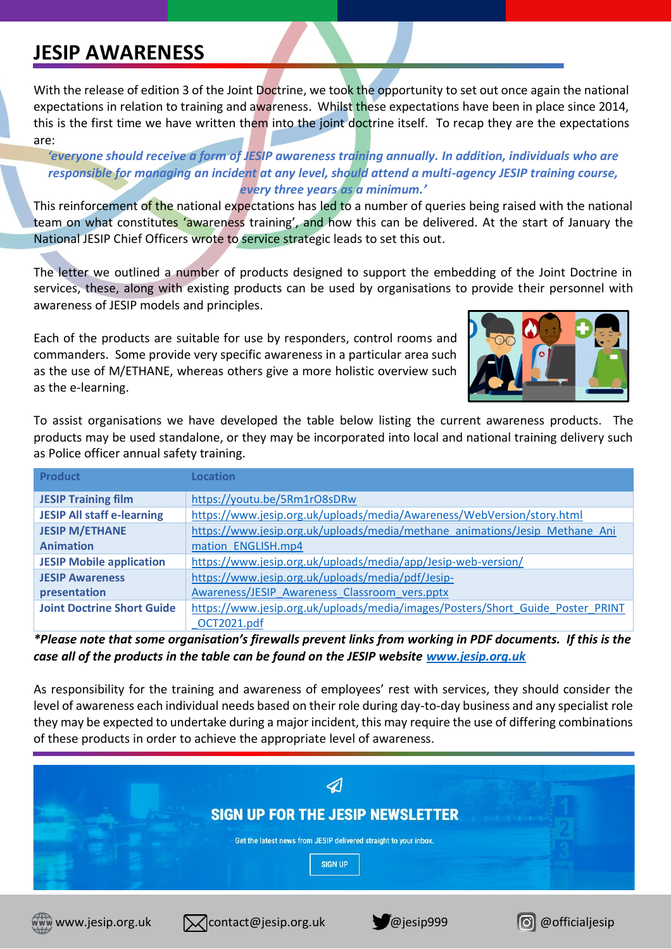### **JESIP AWARENESS**

With the release of edition 3 of the Joint Doctrine, we took the opportunity to set out once again the national expectations in relation to training and awareness. Whilst these expectations have been in place since 2014, this is the first time we have written them into the joint doctrine itself. To recap they are the expectations are:

*'everyone should receive a form of JESIP awareness training annually. In addition, individuals who are responsible for managing an incident at any level, should attend a multi-agency JESIP training course, every three years as a minimum.'*

This reinforcement of the national expectations has led to a number of queries being raised with the national team on what constitutes 'awareness training', and how this can be delivered. At the start of January the National JESIP Chief Officers wrote to service strategic leads to set this out.

The letter we outlined a number of products designed to support the embedding of the Joint Doctrine in services, these, along with existing products can be used by organisations to provide their personnel with awareness of JESIP models and principles.

Each of the products are suitable for use by responders, control rooms and commanders. Some provide very specific awareness in a particular area such as the use of M/ETHANE, whereas others give a more holistic overview such as the e-learning.



To assist organisations we have developed the table below listing the current awareness products. The products may be used standalone, or they may be incorporated into local and national training delivery such as Police officer annual safety training.

| <b>Product</b>                    | <b>Location</b>                                                                |
|-----------------------------------|--------------------------------------------------------------------------------|
| <b>JESIP Training film</b>        | https://youtu.be/5Rm1rO8sDRw                                                   |
| <b>JESIP All staff e-learning</b> | https://www.jesip.org.uk/uploads/media/Awareness/WebVersion/story.html         |
| <b>JESIP M/ETHANE</b>             | https://www.jesip.org.uk/uploads/media/methane animations/Jesip Methane Ani    |
| <b>Animation</b>                  | mation ENGLISH.mp4                                                             |
| <b>JESIP Mobile application</b>   | https://www.jesip.org.uk/uploads/media/app/Jesip-web-version/                  |
| <b>JESIP Awareness</b>            | https://www.jesip.org.uk/uploads/media/pdf/Jesip-                              |
| presentation                      | Awareness/JESIP Awareness Classroom vers.pptx                                  |
| <b>Joint Doctrine Short Guide</b> | https://www.jesip.org.uk/uploads/media/images/Posters/Short Guide Poster PRINT |
|                                   | OCT2021.pdf                                                                    |

*\*Please note that some organisation's firewalls prevent links from working in PDF documents. If this is the case all of the products in the table can be found on the JESIP website [www.jesip.org.uk](http://www.jesip.org.uk/)*

As responsibility for the training and awareness of employees' rest with services, they should consider the level of awareness each individual needs based on their role during day-to-day business and any specialist role they may be expected to undertake during a major incident, this may require the use of differing combinations of these products in order to achieve the appropriate level of awareness.

|  | SIGN UP FOR THE JESIP NEWSLETTER                                 |  |
|--|------------------------------------------------------------------|--|
|  | Get the latest news from JESIP delivered straight to your inbox. |  |
|  | <b>SIGN UP</b>                                                   |  |







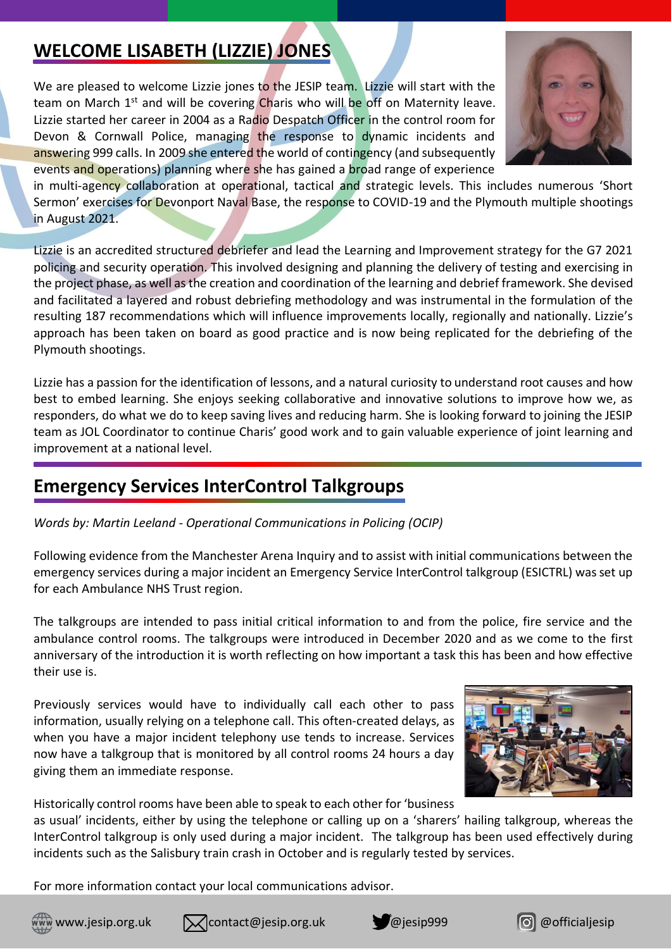### **WELCOME LISABETH (LIZZIE) JONES**

We are pleased to welcome Lizzie jones to the JESIP team. Lizzie will start with the team on March  $1<sup>st</sup>$  and will be covering Charis who will be off on Maternity leave. Lizzie started her career in 2004 as a Radio Despatch Officer in the control room for Devon & Cornwall Police, managing the response to dynamic incidents and answering 999 calls. In 2009 she entered the world of contingency (and subsequently events and operations) planning where she has gained a broad range of experience



in multi-agency collaboration at operational, tactical and strategic levels. This includes numerous 'Short Sermon' exercises for Devonport Naval Base, the response to COVID-19 and the Plymouth multiple shootings in August 2021.

Lizzie is an accredited structured debriefer and lead the Learning and Improvement strategy for the G7 2021 policing and security operation. This involved designing and planning the delivery of testing and exercising in the project phase, as well as the creation and coordination of the learning and debrief framework. She devised and facilitated a layered and robust debriefing methodology and was instrumental in the formulation of the resulting 187 recommendations which will influence improvements locally, regionally and nationally. Lizzie's approach has been taken on board as good practice and is now being replicated for the debriefing of the Plymouth shootings.

Lizzie has a passion for the identification of lessons, and a natural curiosity to understand root causes and how best to embed learning. She enjoys seeking collaborative and innovative solutions to improve how we, as responders, do what we do to keep saving lives and reducing harm. She is looking forward to joining the JESIP team as JOL Coordinator to continue Charis' good work and to gain valuable experience of joint learning and improvement at a national level.

#### **Emergency Services InterControl Talkgroups**

*Words by: Martin Leeland - Operational Communications in Policing (OCIP)*

Following evidence from the Manchester Arena Inquiry and to assist with initial communications between the emergency services during a major incident an Emergency Service InterControl talkgroup (ESICTRL) was set up for each Ambulance NHS Trust region.

The talkgroups are intended to pass initial critical information to and from the police, fire service and the ambulance control rooms. The talkgroups were introduced in December 2020 and as we come to the first anniversary of the introduction it is worth reflecting on how important a task this has been and how effective their use is.

Previously services would have to individually call each other to pass information, usually relying on a telephone call. This often-created delays, as when you have a major incident telephony use tends to increase. Services now have a talkgroup that is monitored by all control rooms 24 hours a day giving them an immediate response.



Historically control rooms have been able to speak to each other for 'business

as usual' incidents, either by using the telephone or calling up on a 'sharers' hailing talkgroup, whereas the InterControl talkgroup is only used during a major incident. The talkgroup has been used effectively during incidents such as the Salisbury train crash in October and is regularly tested by services.

For more information contact your local communications advisor.





www.jesip.org.uk  $\bigotimes$ contact@jesip.org.uk @jesip999 @officialjesip



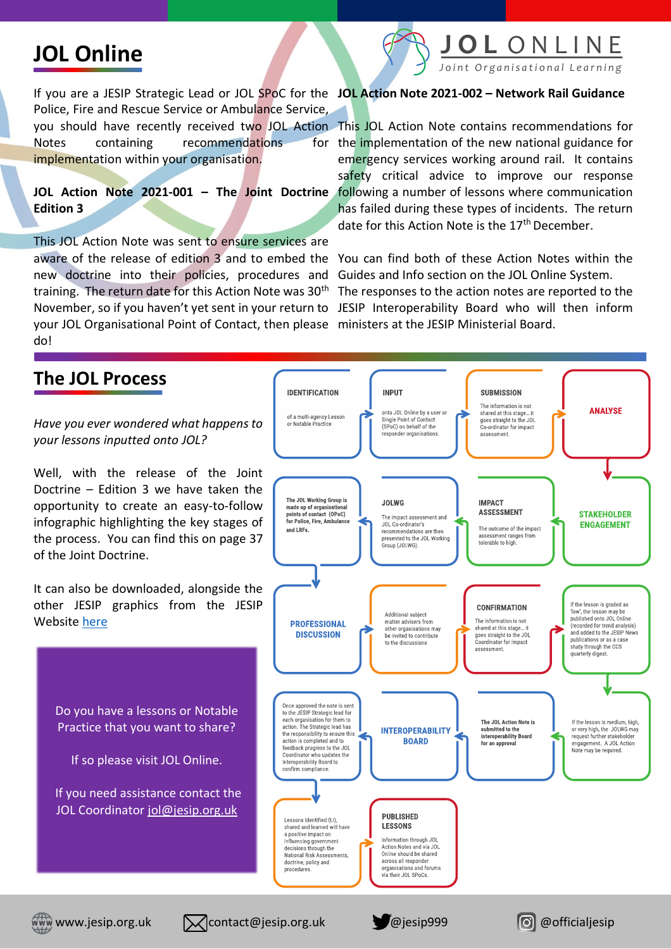# **JOL Online**



If you are a JESIP Strategic Lead or JOL SPoC for the **JOL Action Note 2021-002 – Network Rail Guidance** Police, Fire and Rescue Service or Ambulance Service,

Notes containing recommendations implementation within your organisation.

**JOL Action Note 2021-001 – The Joint Doctrine**  following a number of lessons where communication **Edition 3**

This JOL Action Note was sent to ensure services are new doctrine into their policies, procedures and your JOL Organisational Point of Contact, then please ministers at the JESIP Ministerial Board. do!

you should have recently received two JOL Action. This JOL Action Note contains recommendations for for the implementation of the new national guidance for emergency services working around rail. It contains safety critical advice to improve our response has failed during these types of incidents. The return date for this Action Note is the 17<sup>th</sup> December.

aware of the release of edition 3 and to embed the You can find both of these Action Notes within the training. The return date for this Action Note was 30<sup>th</sup> The responses to the action notes are reported to the November, so if you haven't yet sent in your return to JESIP Interoperability Board who will then inform Guides and Info section on the JOL Online System.



www.jesip.org.uk  $\bigotimes$ contact@jesip.org.uk @jesip999 @officialjesip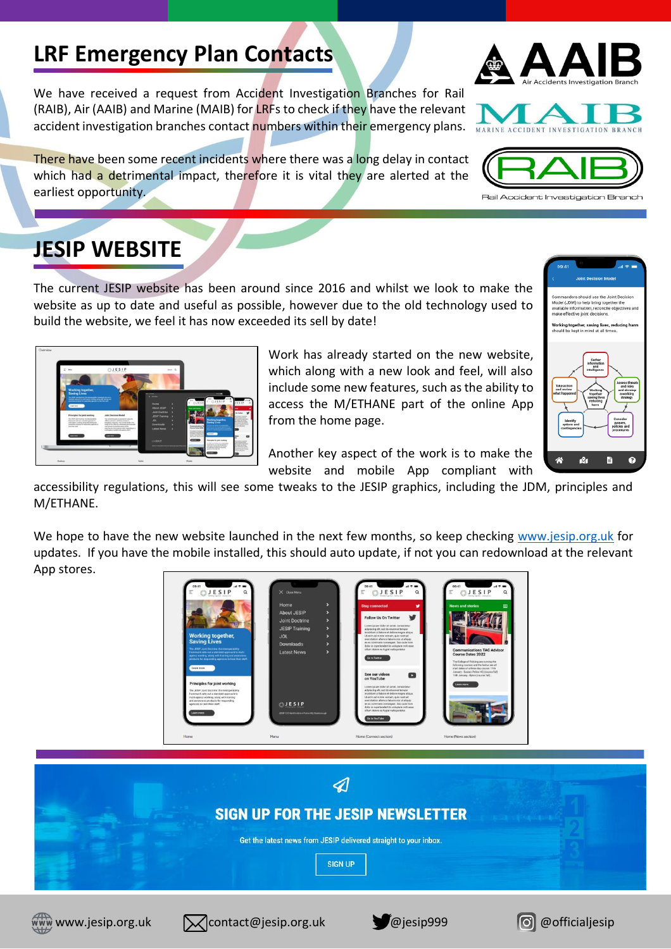# **LRF Emergency Plan Contacts**

We have received a request from Accident Investigation Branches for Rail (RAIB), Air (AAIB) and Marine (MAIB) for LRFs to check if they have the relevant accident investigation branches contact numbers within their emergency plans.

There have been some recent incidents where there was a long delay in contact which had a detrimental impact, therefore it is vital they are alerted at the earliest opportunity.

### **JESIP WEBSITE**

The current JESIP website has been around since 2016 and whilst we look to make the website as up to date and useful as possible, however due to the old technology used to build the website, we feel it has now exceeded its sell by date!



Work has already started on the new website, which along with a new look and feel, will also include some new features, such as the ability to access the M/ETHANE part of the online App from the home page.

Another key aspect of the work is to make the website and mobile App compliant with

accessibility regulations, this will see some tweaks to the JESIP graphics, including the JDM, principles and M/ETHANE.

We hope to have the new website launched in the next few months, so keep checking [www.jesip.org.uk](http://www.jesip.org.uk/) for updates. If you have the mobile installed, this should auto update, if not you can redownload at the relevant App stores.





www.jesip.org.uk  $\blacksquare$  contact@jesip.org.uk @jesip999 @officialjesip